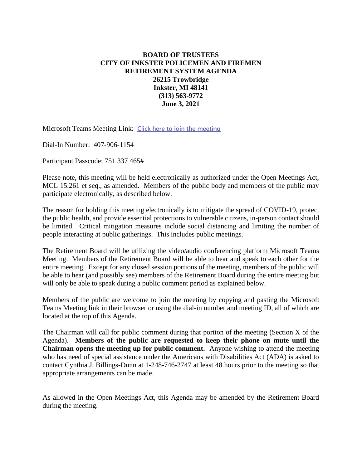## **BOARD OF TRUSTEES CITY OF INKSTER POLICEMEN AND FIREMEN RETIREMENT SYSTEM AGENDA 26215 Trowbridge Inkster, MI 48141 (313) 563-9772 June 3, 2021**

Microsoft Teams Meeting Link: **[Click here to join the meeting](https://teams.microsoft.com/l/meetup-join/19%3ameeting_ZTE5ZTk4ZDAtYzQwMC00YTU3LThiMzYtZmVmNzUzODJmOTMy%40thread.v2/0?context=%7b%22Tid%22%3a%22e9ea9b95-2b52-4a8d-b64e-93b89ce71e23%22%2c%22Oid%22%3a%225b68ee83-a161-46f0-8c43-385948cf5424%22%7d)**

Dial-In Number: 407-906-1154

Participant Passcode: 751 337 465#

Please note, this meeting will be held electronically as authorized under the Open Meetings Act, MCL 15.261 et seq., as amended. Members of the public body and members of the public may participate electronically, as described below.

The reason for holding this meeting electronically is to mitigate the spread of COVID-19, protect the public health, and provide essential protections to vulnerable citizens, in-person contact should be limited. Critical mitigation measures include social distancing and limiting the number of people interacting at public gatherings. This includes public meetings.

The Retirement Board will be utilizing the video/audio conferencing platform Microsoft Teams Meeting. Members of the Retirement Board will be able to hear and speak to each other for the entire meeting. Except for any closed session portions of the meeting, members of the public will be able to hear (and possibly see) members of the Retirement Board during the entire meeting but will only be able to speak during a public comment period as explained below.

Members of the public are welcome to join the meeting by copying and pasting the Microsoft Teams Meeting link in their browser or using the dial-in number and meeting ID, all of which are located at the top of this Agenda.

The Chairman will call for public comment during that portion of the meeting (Section X of the Agenda). **Members of the public are requested to keep their phone on mute until the Chairman opens the meeting up for public comment.** Anyone wishing to attend the meeting who has need of special assistance under the Americans with Disabilities Act (ADA) is asked to contact Cynthia J. Billings-Dunn at 1-248-746-2747 at least 48 hours prior to the meeting so that appropriate arrangements can be made.

As allowed in the Open Meetings Act, this Agenda may be amended by the Retirement Board during the meeting.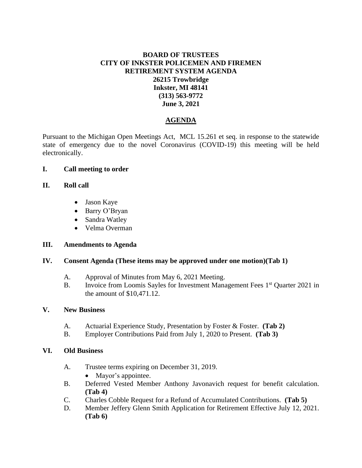# **BOARD OF TRUSTEES CITY OF INKSTER POLICEMEN AND FIREMEN RETIREMENT SYSTEM AGENDA 26215 Trowbridge Inkster, MI 48141 (313) 563-9772 June 3, 2021**

# **AGENDA**

Pursuant to the Michigan Open Meetings Act, MCL 15.261 et seq. in response to the statewide state of emergency due to the novel Coronavirus (COVID-19) this meeting will be held electronically.

## **I. Call meeting to order**

## **II. Roll call**

- Jason Kaye
- Barry O'Bryan
- Sandra Watley
- Velma Overman

#### **III. Amendments to Agenda**

#### **IV. Consent Agenda (These items may be approved under one motion)(Tab 1)**

- A. Approval of Minutes from May 6, 2021 Meeting.
- B. Invoice from Loomis Sayles for Investment Management Fees 1<sup>st</sup> Quarter 2021 in the amount of \$10,471.12.

#### **V. New Business**

- A. Actuarial Experience Study, Presentation by Foster & Foster. **(Tab 2)**
- B. Employer Contributions Paid from July 1, 2020 to Present. **(Tab 3)**

#### **VI. Old Business**

- A. Trustee terms expiring on December 31, 2019.
	- Mayor's appointee.
- B. Deferred Vested Member Anthony Javonavich request for benefit calculation. **(Tab 4)**
- C. Charles Cobble Request for a Refund of Accumulated Contributions. **(Tab 5)**
- D. Member Jeffery Glenn Smith Application for Retirement Effective July 12, 2021. **(Tab 6)**